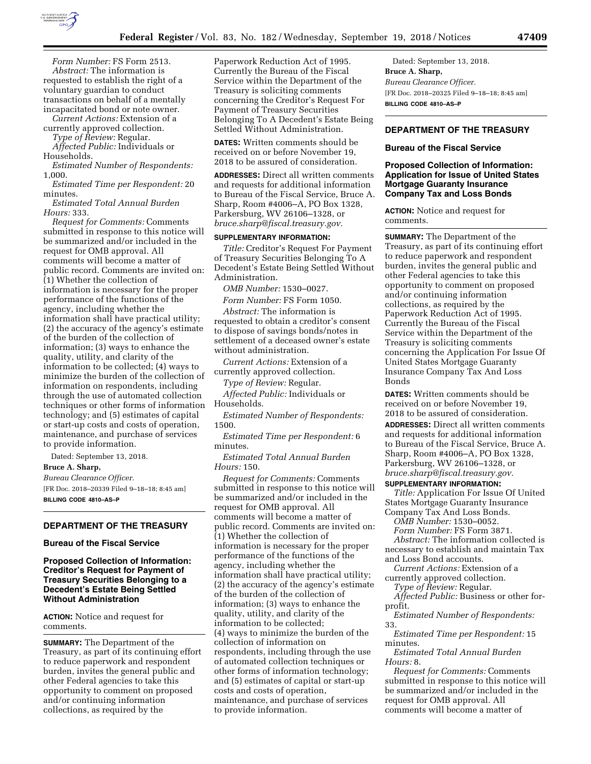

*Form Number:* FS Form 2513. *Abstract:* The information is requested to establish the right of a voluntary guardian to conduct transactions on behalf of a mentally incapacitated bond or note owner.

*Current Actions:* Extension of a currently approved collection.

*Type of Review:* Regular.

*Affected Public:* Individuals or Households.

*Estimated Number of Respondents:*  1,000.

*Estimated Time per Respondent:* 20 minutes.

*Estimated Total Annual Burden Hours:* 333.

*Request for Comments:* Comments submitted in response to this notice will be summarized and/or included in the request for OMB approval. All comments will become a matter of public record. Comments are invited on: (1) Whether the collection of information is necessary for the proper performance of the functions of the agency, including whether the information shall have practical utility; (2) the accuracy of the agency's estimate of the burden of the collection of information; (3) ways to enhance the quality, utility, and clarity of the information to be collected; (4) ways to minimize the burden of the collection of information on respondents, including through the use of automated collection techniques or other forms of information Households. technology; and (5) estimates of capital or start-up costs and costs of operation, maintenance, and purchase of services to provide information.

Dated: September 13, 2018.

#### **Bruce A. Sharp,**

*Bureau Clearance Officer.*  [FR Doc. 2018–20339 Filed 9–18–18; 8:45 am] **BILLING CODE 4810–AS–P** 

## **DEPARTMENT OF THE TREASURY**

#### **Bureau of the Fiscal Service**

**Proposed Collection of Information: Creditor's Request for Payment of Treasury Securities Belonging to a Decedent's Estate Being Settled Without Administration** 

**ACTION:** Notice and request for comments.

**SUMMARY:** The Department of the Treasury, as part of its continuing effort to reduce paperwork and respondent burden, invites the general public and other Federal agencies to take this opportunity to comment on proposed and/or continuing information collections, as required by the

Paperwork Reduction Act of 1995. Currently the Bureau of the Fiscal Service within the Department of the Treasury is soliciting comments concerning the Creditor's Request For Payment of Treasury Securities Belonging To A Decedent's Estate Being Settled Without Administration.

**DATES:** Written comments should be received on or before November 19, 2018 to be assured of consideration.

**ADDRESSES:** Direct all written comments and requests for additional information to Bureau of the Fiscal Service, Bruce A. Sharp, Room #4006–A, PO Box 1328, Parkersburg, WV 26106–1328, or *[bruce.sharp@fiscal.treasury.gov.](mailto:bruce.sharp@fiscal.treasury.gov)* 

# **SUPPLEMENTARY INFORMATION:**

*Title:* Creditor's Request For Payment of Treasury Securities Belonging To A Decedent's Estate Being Settled Without Administration.

*OMB Number:* 1530–0027.

*Form Number:* FS Form 1050.

*Abstract:* The information is requested to obtain a creditor's consent to dispose of savings bonds/notes in settlement of a deceased owner's estate without administration.

*Current Actions:* Extension of a currently approved collection.

*Type of Review:* Regular.

*Affected Public:* Individuals or

*Estimated Number of Respondents:*  1500.

*Estimated Time per Respondent:* 6 minutes.

*Estimated Total Annual Burden Hours:* 150.

*Request for Comments:* Comments submitted in response to this notice will be summarized and/or included in the request for OMB approval. All comments will become a matter of public record. Comments are invited on: (1) Whether the collection of information is necessary for the proper performance of the functions of the agency, including whether the information shall have practical utility; (2) the accuracy of the agency's estimate of the burden of the collection of information; (3) ways to enhance the quality, utility, and clarity of the information to be collected; (4) ways to minimize the burden of the collection of information on respondents, including through the use of automated collection techniques or other forms of information technology; and (5) estimates of capital or start-up costs and costs of operation, maintenance, and purchase of services to provide information.

Dated: September 13, 2018. **Bruce A. Sharp,**  *Bureau Clearance Officer.*  [FR Doc. 2018–20325 Filed 9–18–18; 8:45 am] **BILLING CODE 4810–AS–P** 

## **DEPARTMENT OF THE TREASURY**

### **Bureau of the Fiscal Service**

### **Proposed Collection of Information: Application for Issue of United States Mortgage Guaranty Insurance Company Tax and Loss Bonds**

**ACTION:** Notice and request for comments.

**SUMMARY:** The Department of the Treasury, as part of its continuing effort to reduce paperwork and respondent burden, invites the general public and other Federal agencies to take this opportunity to comment on proposed and/or continuing information collections, as required by the Paperwork Reduction Act of 1995. Currently the Bureau of the Fiscal Service within the Department of the Treasury is soliciting comments concerning the Application For Issue Of United States Mortgage Guaranty Insurance Company Tax And Loss Bonds

**DATES:** Written comments should be received on or before November 19, 2018 to be assured of consideration. **ADDRESSES:** Direct all written comments and requests for additional information to Bureau of the Fiscal Service, Bruce A. Sharp, Room #4006–A, PO Box 1328, Parkersburg, WV 26106–1328, or *[bruce.sharp@fiscal.treasury.gov.](mailto:bruce.sharp@fiscal.treasury.gov)* 

### **SUPPLEMENTARY INFORMATION:**

*Title:* Application For Issue Of United States Mortgage Guaranty Insurance Company Tax And Loss Bonds.

*OMB Number:* 1530–0052.

*Form Number:* FS Form 3871.

*Abstract:* The information collected is necessary to establish and maintain Tax and Loss Bond accounts.

*Current Actions:* Extension of a currently approved collection.

*Type of Review:* Regular.

*Affected Public:* Business or other forprofit.

*Estimated Number of Respondents:*  33.

*Estimated Time per Respondent:* 15 minutes.

*Estimated Total Annual Burden Hours:* 8.

*Request for Comments:* Comments submitted in response to this notice will be summarized and/or included in the request for OMB approval. All comments will become a matter of